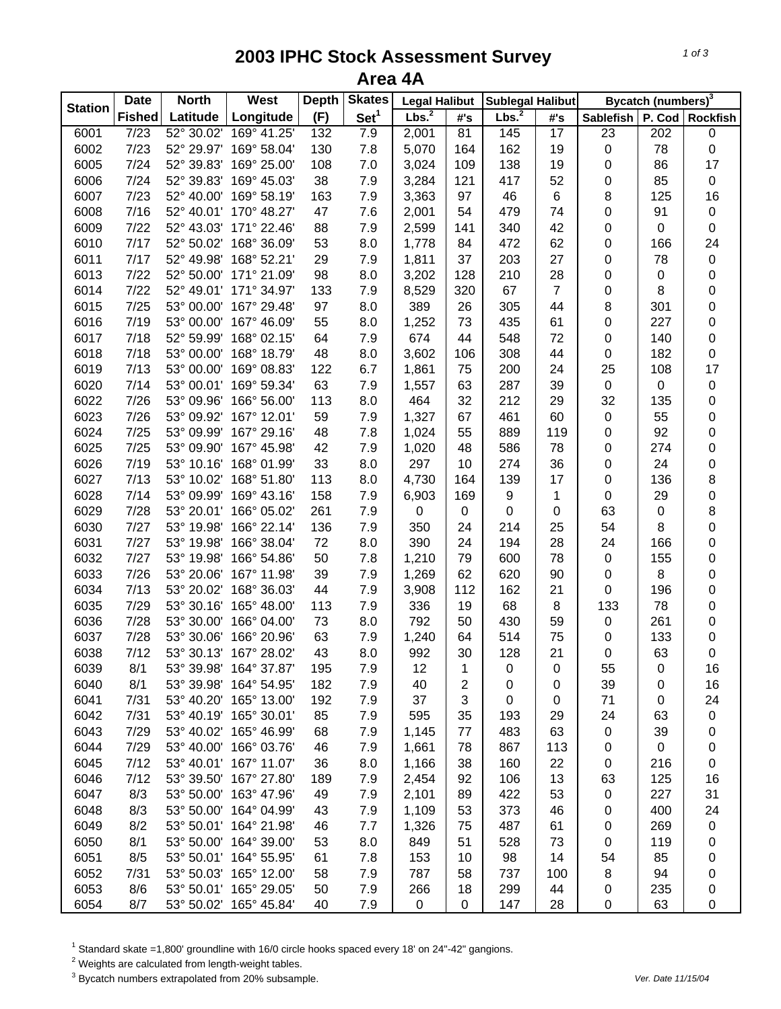## **2003 IPHC Stock Assessment Survey Area 4A**

|                | <b>Date</b>   | <b>North</b> | <b>West</b>            | <b>Depth</b> | <b>Skates</b>    | <b>Legal Halibut</b> |                  | Sublegal Halibut  |                 |                  | Bycatch (numbers) <sup>3</sup> |                 |
|----------------|---------------|--------------|------------------------|--------------|------------------|----------------------|------------------|-------------------|-----------------|------------------|--------------------------------|-----------------|
| <b>Station</b> | <b>Fished</b> | Latitude     | Longitude              | (F)          | Set <sup>1</sup> | Lbs. <sup>2</sup>    | #'s              | Lbs. <sup>2</sup> | #'s             | <b>Sablefish</b> | P. Cod                         | <b>Rockfish</b> |
| 6001           | 7/23          | 52° 30.02'   | 169° 41.25'            | 132          | 7.9              | 2,001                | $\overline{81}$  | 145               | $\overline{17}$ | $\overline{23}$  | $\overline{202}$               | $\pmb{0}$       |
| 6002           | 7/23          | 52° 29.97'   | 169° 58.04'            | 130          | 7.8              | 5,070                | 164              | 162               | 19              | $\pmb{0}$        | 78                             | $\mathbf 0$     |
| 6005           | 7/24          | 52° 39.83'   | 169° 25.00'            | 108          | 7.0              | 3,024                | 109              | 138               | 19              | 0                | 86                             | 17              |
| 6006           | 7/24          | 52° 39.83'   | 169° 45.03'            | 38           | 7.9              | 3,284                | 121              | 417               | 52              | 0                | 85                             | $\pmb{0}$       |
| 6007           | 7/23          | 52° 40.00'   | 169° 58.19'            | 163          | 7.9              | 3,363                | 97               | 46                | 6               | 8                | 125                            | 16              |
| 6008           | 7/16          | 52° 40.01'   | 170° 48.27'            | 47           | 7.6              | 2,001                | 54               | 479               | 74              | 0                | 91                             | $\pmb{0}$       |
| 6009           | 7/22          | 52° 43.03'   | 171° 22.46'            | 88           | 7.9              | 2,599                | 141              | 340               | 42              | $\pmb{0}$        | $\pmb{0}$                      | $\pmb{0}$       |
| 6010           | 7/17          | 52° 50.02'   | 168° 36.09'            | 53           | 8.0              | 1,778                | 84               | 472               | 62              | 0                | 166                            | 24              |
| 6011           | 7/17          | 52° 49.98'   | 168° 52.21'            | 29           | 7.9              | 1,811                | 37               | 203               | 27              | 0                | 78                             | $\pmb{0}$       |
| 6013           | 7/22          | 52° 50.00'   | 171° 21.09'            | 98           | 8.0              | 3,202                | 128              | 210               | 28              | $\pmb{0}$        | 0                              | $\pmb{0}$       |
| 6014           | 7/22          | 52° 49.01'   | 171° 34.97'            | 133          | 7.9              | 8,529                | 320              | 67                | 7               | $\pmb{0}$        | 8                              | $\pmb{0}$       |
| 6015           | 7/25          | 53° 00.00'   | 167° 29.48'            | 97           | 8.0              | 389                  | 26               | 305               | 44              | 8                | 301                            | 0               |
| 6016           | 7/19          | 53° 00.00'   | 167° 46.09'            | 55           | 8.0              | 1,252                | 73               | 435               | 61              | 0                | 227                            | $\mathbf 0$     |
| 6017           | 7/18          | 52° 59.99'   | 168° 02.15'            | 64           | 7.9              | 674                  | 44               | 548               | 72              | 0                | 140                            | $\pmb{0}$       |
| 6018           | 7/18          | 53° 00.00'   | 168° 18.79'            | 48           | 8.0              | 3,602                | 106              | 308               | 44              | 0                | 182                            | $\mathbf 0$     |
| 6019           | 7/13          | 53° 00.00'   | 169° 08.83'            | 122          | 6.7              | 1,861                | 75               | 200               | 24              | 25               | 108                            | 17              |
| 6020           | 7/14          | 53° 00.01'   | 169° 59.34'            | 63           | 7.9              | 1,557                | 63               | 287               | 39              | $\pmb{0}$        | $\mathbf 0$                    | $\pmb{0}$       |
| 6022           | 7/26          | 53° 09.96'   | 166° 56.00'            | 113          | 8.0              | 464                  | 32               | 212               | 29              | 32               | 135                            | $\mathbf 0$     |
| 6023           | 7/26          | 53° 09.92'   | 167° 12.01'            | 59           | 7.9              | 1,327                | 67               | 461               | 60              | $\pmb{0}$        | 55                             | $\mathbf 0$     |
| 6024           | 7/25          | 53° 09.99'   | 167° 29.16'            | 48           | 7.8              | 1,024                | 55               | 889               | 119             | 0                | 92                             | $\mathbf 0$     |
| 6025           | 7/25          | 53° 09.90'   | 167° 45.98'            | 42           | 7.9              | 1,020                | 48               | 586               | 78              | 0                | 274                            | $\mathbf 0$     |
| 6026           | 7/19          | 53° 10.16'   | 168° 01.99'            | 33           | 8.0              | 297                  | 10               | 274               | 36              | 0                | 24                             | $\pmb{0}$       |
| 6027           | 7/13          | 53° 10.02'   | 168° 51.80'            | 113          | 8.0              | 4,730                | 164              | 139               | 17              | 0                | 136                            | $\bf 8$         |
| 6028           | 7/14          | 53° 09.99'   | 169° 43.16'            | 158          | 7.9              | 6,903                | 169              | 9                 | 1               | $\pmb{0}$        | 29                             | $\mathbf 0$     |
| 6029           | 7/28          | 53° 20.01'   | 166° 05.02'            | 261          | 7.9              | 0                    | $\boldsymbol{0}$ | 0                 | 0               | 63               | 0                              | $\bf 8$         |
| 6030           | 7/27          | 53° 19.98'   | 166° 22.14'            | 136          | 7.9              | 350                  | 24               | 214               | 25              | 54               | 8                              | 0               |
| 6031           | 7/27          | 53° 19.98'   | 166° 38.04'            | 72           | 8.0              | 390                  | 24               | 194               | 28              | 24               | 166                            | 0               |
| 6032           | 7/27          | 53° 19.98'   | 166° 54.86'            | 50           | 7.8              | 1,210                | 79               | 600               | 78              | 0                | 155                            | $\mathbf 0$     |
| 6033           | 7/26          | 53° 20.06'   | 167° 11.98'            | 39           | 7.9              | 1,269                | 62               | 620               | 90              | 0                | 8                              | 0               |
| 6034           | 7/13          | 53° 20.02'   | 168° 36.03'            | 44           | 7.9              | 3,908                | 112              | 162               | 21              | 0                | 196                            | 0               |
| 6035           | 7/29          | 53° 30.16'   | 165° 48.00'            | 113          | 7.9              | 336                  | 19               | 68                | 8               | 133              | 78                             | 0               |
| 6036           | 7/28          | 53° 30.00'   | 166° 04.00'            | 73           | 8.0              | 792                  | 50               | 430               | 59              | $\pmb{0}$        | 261                            | $\pmb{0}$       |
| 6037           | 7/28          | 53° 30.06'   | 166° 20.96'            | 63           | 7.9              | 1,240                | 64               | 514               | 75              | 0                | 133                            | 0               |
| 6038           | 7/12          | 53° 30.13'   | 167° 28.02'            | 43           | 8.0              | 992                  | 30               | 128               | 21              | $\pmb{0}$        | 63                             | $\mathbf 0$     |
| 6039           | 8/1           | 53° 39.98'   | 164° 37.87'            | 195          | 7.9              | 12                   | 1                | 0                 | 0               | 55               | 0                              | 16              |
| 6040           | 8/1           | 53° 39.98'   | 164° 54.95'            | 182          | 7.9              | 40                   | 2                | 0                 | 0               | 39               | 0                              | 16              |
| 6041           | 7/31          | 53° 40.20'   | 165° 13.00'            | 192          | 7.9              | 37                   | 3                | 0                 | 0               | 71               | 0                              | 24              |
| 6042           | 7/31          | 53° 40.19'   | 165° 30.01'            | 85           | 7.9              | 595                  | 35               | 193               | 29              | 24               | 63                             | $\pmb{0}$       |
| 6043           | 7/29          | 53° 40.02'   | 165° 46.99'            | 68           | 7.9              | 1,145                | 77               | 483               | 63              | $\pmb{0}$        | 39                             | 0               |
| 6044           | 7/29          | 53° 40.00'   | 166° 03.76'            | 46           | 7.9              | 1,661                | 78               | 867               | 113             | 0                | 0                              | 0               |
| 6045           | 7/12          | 53° 40.01'   | 167° 11.07'            | 36           | 8.0              | 1,166                | 38               | 160               | 22              | 0                | 216                            | $\pmb{0}$       |
| 6046           | 7/12          | 53° 39.50'   | 167° 27.80'            | 189          | 7.9              | 2,454                | 92               | 106               | 13              | 63               | 125                            | 16              |
| 6047           | 8/3           | 53° 50.00'   | 163° 47.96'            | 49           | 7.9              | 2,101                | 89               | 422               | 53              | 0                | 227                            | 31              |
| 6048           | 8/3           |              | 53° 50.00' 164° 04.99' | 43           | 7.9              | 1,109                | 53               | 373               | 46              | 0                | 400                            | 24              |
| 6049           | 8/2           | 53° 50.01'   | 164° 21.98'            | 46           | 7.7              | 1,326                | 75               | 487               | 61              | 0                | 269                            | $\pmb{0}$       |
| 6050           | 8/1           | 53° 50.00'   | 164° 39.00'            | 53           | 8.0              | 849                  | 51               | 528               | 73              | 0                | 119                            | 0               |
| 6051           | 8/5           | 53° 50.01'   | 164° 55.95'            | 61           | 7.8              | 153                  | 10               | 98                | 14              | 54               | 85                             | 0               |
| 6052           | 7/31          | 53° 50.03'   | 165° 12.00'            | 58           | 7.9              | 787                  | 58               | 737               | 100             | 8                | 94                             | 0               |
| 6053           | 8/6           |              | 53° 50.01' 165° 29.05' | 50           | 7.9              | 266                  | 18               | 299               | 44              | 0                | 235                            | $\pmb{0}$       |
| 6054           | 8/7           | 53° 50.02'   | 165° 45.84'            | 40           | 7.9              | $\mathbf 0$          | $\pmb{0}$        | 147               | 28              | 0                | 63                             | $\pmb{0}$       |

<sup>1</sup> Standard skate =1,800' groundline with 16/0 circle hooks spaced every 18' on 24"-42" gangions.<br><sup>2</sup> Weights are calculated from length-weight tables.<br><sup>3</sup> Bycatch numbers extrapolated from 20% subsample.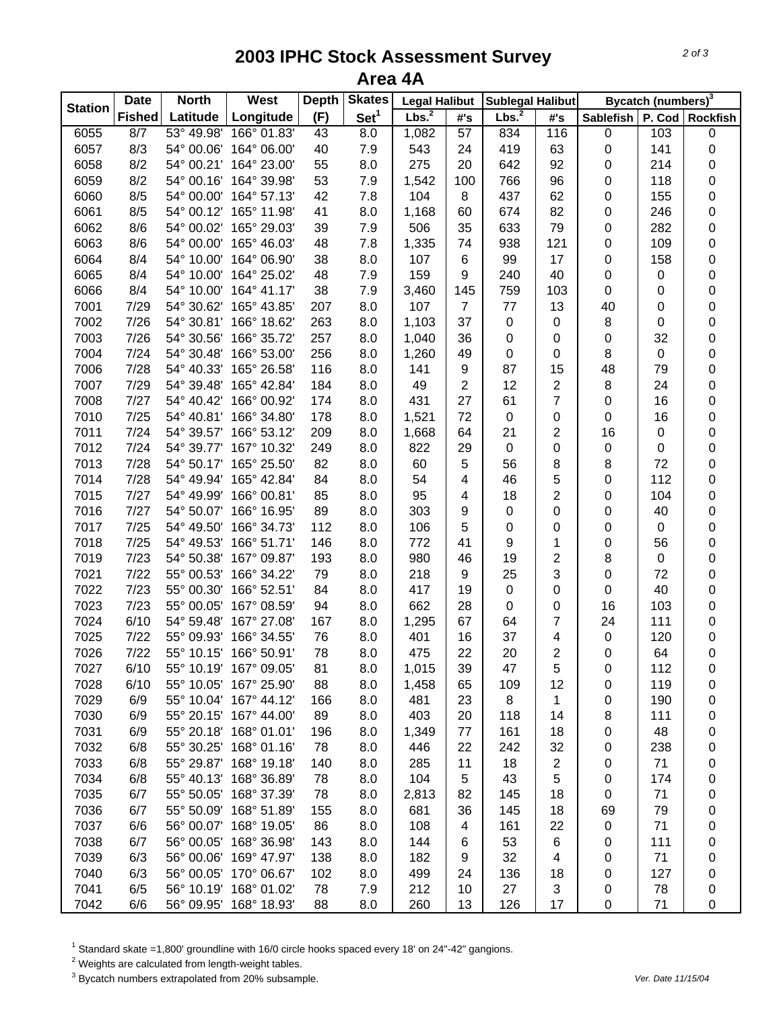## **2003 IPHC Stock Assessment Survey Area 4A**

| <b>Station</b> | <b>Date</b>   | <b>Skates</b><br><b>North</b><br><b>West</b><br><b>Depth</b> |                        | <b>Legal Halibut</b> |                  | Sublegal Halibut  |                     | Bycatch (numbers) <sup>3</sup> |                         |                  |           |                 |
|----------------|---------------|--------------------------------------------------------------|------------------------|----------------------|------------------|-------------------|---------------------|--------------------------------|-------------------------|------------------|-----------|-----------------|
|                | <b>Fished</b> | Latitude                                                     | Longitude              | (F)                  | Set <sup>1</sup> | Lbs. <sup>2</sup> | $\#^{\centerdot}$ s | Lbs. <sup>2</sup>              | #'s                     | <b>Sablefish</b> | P. Cod    | <b>Rockfish</b> |
| 6055           | 8/7           | 53° 49.98'                                                   | 166° 01.83'            | 43                   | 8.0              | 1,082             | 57                  | 834                            | 116                     | $\pmb{0}$        | 103       | $\pmb{0}$       |
| 6057           | 8/3           | 54° 00.06'                                                   | 164° 06.00'            | 40                   | 7.9              | 543               | 24                  | 419                            | 63                      | 0                | 141       | $\mathbf 0$     |
| 6058           | 8/2           | 54° 00.21'                                                   | 164° 23.00'            | 55                   | 8.0              | 275               | 20                  | 642                            | 92                      | 0                | 214       | $\pmb{0}$       |
| 6059           | 8/2           | 54° 00.16'                                                   | 164° 39.98'            | 53                   | 7.9              | 1,542             | 100                 | 766                            | 96                      | 0                | 118       | $\pmb{0}$       |
| 6060           | 8/5           | 54° 00.00'                                                   | 164° 57.13'            | 42                   | 7.8              | 104               | 8                   | 437                            | 62                      | 0                | 155       | $\mathbf 0$     |
| 6061           | 8/5           | 54° 00.12'                                                   | 165° 11.98'            | 41                   | 8.0              | 1,168             | 60                  | 674                            | 82                      | 0                | 246       | $\mathbf 0$     |
| 6062           | 8/6           | 54° 00.02'                                                   | 165° 29.03'            | 39                   | 7.9              | 506               | 35                  | 633                            | 79                      | 0                | 282       | $\mathbf 0$     |
| 6063           | 8/6           | 54° 00.00'                                                   | 165° 46.03'            | 48                   | 7.8              | 1,335             | 74                  | 938                            | 121                     | 0                | 109       | $\mathbf 0$     |
| 6064           | 8/4           | 54° 10.00'                                                   | 164° 06.90'            | 38                   | 8.0              | 107               | $\,6$               | 99                             | 17                      | 0                | 158       | 0               |
| 6065           | 8/4           | 54° 10.00'                                                   | 164° 25.02'            | 48                   | 7.9              | 159               | 9                   | 240                            | 40                      | 0                | 0         | 0               |
| 6066           | 8/4           | 54° 10.00'                                                   | 164° 41.17'            | 38                   | 7.9              | 3,460             | 145                 | 759                            | 103                     | 0                | 0         | 0               |
| 7001           | 7/29          | 54° 30.62'                                                   | 165° 43.85'            | 207                  | 8.0              | 107               | $\overline{7}$      | 77                             | 13                      | 40               | $\pmb{0}$ | $\mathbf 0$     |
| 7002           | 7/26          | 54° 30.81'                                                   | 166° 18.62'            | 263                  | 8.0              | 1,103             | 37                  | $\pmb{0}$                      | 0                       | 8                | 0         | 0               |
| 7003           | 7/26          | 54° 30.56'                                                   | 166° 35.72'            | 257                  | 8.0              | 1,040             | 36                  | $\boldsymbol{0}$               | 0                       | 0                | 32        | 0               |
| 7004           | $7/24$        | 54° 30.48'                                                   | 166° 53.00'            | 256                  | 8.0              | 1,260             | 49                  | $\boldsymbol{0}$               | 0                       | 8                | $\pmb{0}$ | 0               |
| 7006           | 7/28          | 54° 40.33'                                                   | 165° 26.58'            | 116                  | 8.0              | 141               | 9                   | 87                             | 15                      | 48               | 79        | 0               |
| 7007           | 7/29          | 54° 39.48'                                                   | 165° 42.84'            | 184                  | 8.0              | 49                | $\overline{c}$      | 12                             | $\overline{\mathbf{c}}$ | 8                | 24        | $\mathbf 0$     |
| 7008           | $7/27$        | 54° 40.42'                                                   | 166° 00.92'            | 174                  | 8.0              | 431               | 27                  | 61                             | 7                       | 0                | 16        | $\mathbf 0$     |
| 7010           | 7/25          | 54° 40.81'                                                   | 166° 34.80'            | 178                  | 8.0              | 1,521             | 72                  | $\pmb{0}$                      | 0                       | $\pmb{0}$        | 16        | $\mathbf 0$     |
| 7011           | 7/24          | 54° 39.57'                                                   | 166° 53.12'            | 209                  | 8.0              | 1,668             | 64                  | 21                             | $\overline{2}$          | 16               | $\pmb{0}$ | $\mathbf 0$     |
| 7012           | 7/24          | 54° 39.77'                                                   | 167° 10.32'            | 249                  | 8.0              | 822               | 29                  | $\pmb{0}$                      | 0                       | $\pmb{0}$        | $\pmb{0}$ | $\mathbf 0$     |
| 7013           | 7/28          | 54° 50.17'                                                   | 165° 25.50'            | 82                   | 8.0              | 60                | 5                   | 56                             | 8                       | 8                | 72        | $\mathbf 0$     |
| 7014           | 7/28          | 54° 49.94'                                                   | 165° 42.84'            | 84                   | 8.0              | 54                | 4                   | 46                             | 5                       | $\mathbf 0$      | 112       | $\mathbf 0$     |
| 7015           | 7/27          | 54° 49.99'                                                   | 166° 00.81'            | 85                   | 8.0              | 95                | 4                   | 18                             | $\overline{\mathbf{c}}$ | 0                | 104       | 0               |
| 7016           | 7/27          | 54° 50.07'                                                   | 166° 16.95'            | 89                   | 8.0              | 303               | 9                   | $\boldsymbol{0}$               | 0                       | 0                | 40        | 0               |
| 7017           | 7/25          | 54° 49.50'                                                   | 166° 34.73'            | 112                  | 8.0              | 106               | 5                   | 0                              | 0                       | 0                | $\pmb{0}$ | 0               |
| 7018           | 7/25          | 54° 49.53'                                                   | 166° 51.71'            | 146                  | 8.0              | 772               | 41                  | 9                              | 1                       | 0                | 56        | 0               |
| 7019           | 7/23          | 54° 50.38'                                                   | 167° 09.87'            | 193                  | 8.0              | 980               | 46                  | 19                             | 2                       | 8                | $\pmb{0}$ | 0               |
| 7021           | 7/22          | 55° 00.53'                                                   | 166° 34.22'            | 79                   | 8.0              | 218               | 9                   | 25                             | 3                       | 0                | 72        | $\mathbf 0$     |
| 7022           | 7/23          | 55° 00.30'                                                   | 166° 52.51'            | 84                   | 8.0              | 417               | 19                  | $\boldsymbol{0}$               | 0                       | 0                | 40        | $\mathbf 0$     |
| 7023           | 7/23          | 55° 00.05'                                                   | 167° 08.59'            | 94                   | 8.0              | 662               | 28                  | 0                              | 0                       | 16               | 103       | 0               |
| 7024           | 6/10          | 54° 59.48'                                                   | 167° 27.08'            | 167                  | 8.0              | 1,295             | 67                  | 64                             | 7                       | 24               | 111       | 0               |
| 7025           | 7/22          | 55° 09.93'                                                   | 166° 34.55'            | 76                   | 8.0              | 401               | 16                  | 37                             | 4                       | 0                | 120       | $\pmb{0}$       |
| 7026           | 7/22          | 55° 10.15'                                                   | 166° 50.91'            | 78                   | 8.0              | 475               | 22                  | 20                             | $\overline{2}$          | 0                | 64        | $\mathbf 0$     |
| 7027           | 6/10          |                                                              | 55° 10.19' 167° 09.05' | 81                   | 8.0              | 1,015             | 39                  | 47                             | 5                       | 0                | 112       | 0               |
| 7028           | 6/10          | 55° 10.05'                                                   | 167° 25.90'            | 88                   | 8.0              | 1,458             | 65                  | 109                            | 12                      | 0                | 119       | 0               |
| 7029           | 6/9           |                                                              | 55° 10.04' 167° 44.12' | 166                  | 8.0              | 481               | 23                  | 8                              | 1                       | 0                | 190       | 0               |
| 7030           | 6/9           |                                                              | 55° 20.15' 167° 44.00' | 89                   | 8.0              | 403               | 20                  | 118                            | 14                      | 8                | 111       | 0               |
| 7031           | 6/9           | 55° 20.18'                                                   | 168° 01.01'            | 196                  | 8.0              | 1,349             | 77                  | 161                            | 18                      | 0                | 48        | 0               |
| 7032           | 6/8           | 55° 30.25'                                                   | 168° 01.16'            | 78                   | 8.0              | 446               | 22                  | 242                            | 32                      | 0                | 238       | 0               |
| 7033           | 6/8           | 55° 29.87'                                                   | 168° 19.18'            | 140                  | 8.0              | 285               | 11                  | 18                             | 2                       | 0                | 71        | 0               |
| 7034           | 6/8           | 55° 40.13'                                                   | 168° 36.89'            | 78                   | 8.0              | 104               | 5                   | 43                             | 5                       | 0                | 174       | 0               |
| 7035           | 6/7           | 55° 50.05'                                                   | 168° 37.39'            | 78                   | 8.0              | 2,813             | 82                  | 145                            | 18                      | 0                | 71        | 0               |
| 7036           | 6/7           | 55° 50.09'                                                   | 168° 51.89'            | 155                  | 8.0              | 681               | 36                  | 145                            | 18                      | 69               | 79        | 0               |
| 7037           | 6/6           | 56° 00.07'                                                   | 168° 19.05'            | 86                   | 8.0              | 108               | 4                   | 161                            | 22                      | 0                | 71        | 0               |
| 7038           | 6/7           | 56° 00.05'                                                   | 168° 36.98'            | 143                  | 8.0              | 144               | 6                   | 53                             | 6                       | 0                | 111       | 0               |
| 7039           | 6/3           | 56° 00.06'                                                   | 169° 47.97'            | 138                  | 8.0              | 182               | 9                   | 32                             | 4                       | 0                | 71        | 0               |
| 7040           | 6/3           | 56° 00.05'                                                   | 170° 06.67'            | 102                  | 8.0              | 499               | 24                  | 136                            | 18                      | 0                | 127       | 0               |
| 7041           | 6/5           | 56° 10.19'                                                   | 168° 01.02'            | 78                   | 7.9              | 212               | 10                  | 27                             | 3                       | 0                | 78        | $\pmb{0}$       |
| 7042           | 6/6           | 56° 09.95'                                                   | 168° 18.93'            | 88                   | 8.0              | 260               | 13                  | 126                            | 17                      | 0                | 71        | $\mathbf 0$     |

 $^1$  Standard skate =1,800' groundline with 16/0 circle hooks spaced every 18' on 24"-42" gangions.<br><sup>2</sup> Weights are calculated from length-weight tables.

3 Bycatch numbers extrapolated from 20% subsample. *Ver. Date 11/15/04*